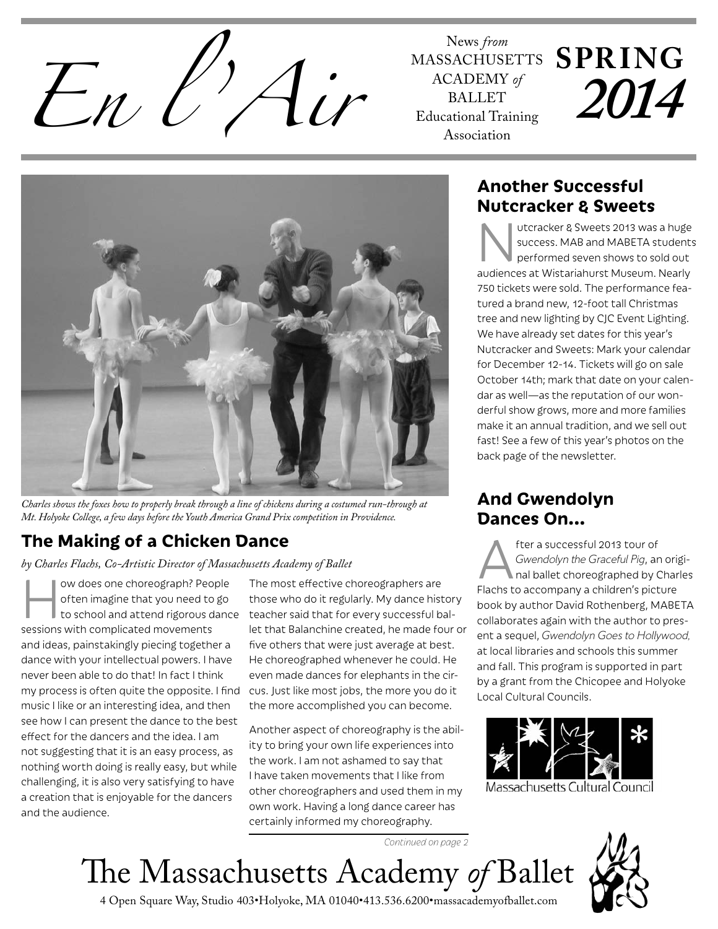News from<br> *En l'If* MASSACHUSH<br> *Encademy*<br> *Encademy*<br>
Educational Trai

MASSACHUSETTS ACADEMY *of* BALLET Educational Training Association

# **SPRING** *2014*



*Charles shows the foxes how to properly break through a line of chickens during a costumed run-through at Mt. Holyoke College, a few days before the Youth America Grand Prix competition in Providence.*

# **The Making of a Chicken Dance**

*by Charles Flachs, Co-Artistic Director of Massachusetts Academy of Ballet*

ow does one choreograph? People<br>often imagine that you need to go<br>to school and attend rigorous dance often imagine that you need to go to school and attend rigorous dance sessions with complicated movements and ideas, painstakingly piecing together a dance with your intellectual powers. I have never been able to do that! In fact I think my process is often quite the opposite. I find music I like or an interesting idea, and then see how I can present the dance to the best effect for the dancers and the idea. I am not suggesting that it is an easy process, as nothing worth doing is really easy, but while challenging, it is also very satisfying to have a creation that is enjoyable for the dancers and the audience.

The most effective choreographers are those who do it regularly. My dance history teacher said that for every successful ballet that Balanchine created, he made four or five others that were just average at best. He choreographed whenever he could. He even made dances for elephants in the circus. Just like most jobs, the more you do it the more accomplished you can become.

Another aspect of choreography is the ability to bring your own life experiences into the work. I am not ashamed to say that I have taken movements that I like from other choreographers and used them in my own work. Having a long dance career has certainly informed my choreography.

### **Another Successful Nutcracker & Sweets**

utcracker & Sweets 2013 was a huge success. MAB and MABETA students performed seven shows to sold out audiences at Wistariahurst Museum. Nearly 750 tickets were sold. The performance featured a brand new, 12-foot tall Christmas tree and new lighting by CJC Event Lighting. We have already set dates for this year's Nutcracker and Sweets: Mark your calendar for December 12-14. Tickets will go on sale October 14th; mark that date on your calendar as well—as the reputation of our wonderful show grows, more and more families make it an annual tradition, and we sell out fast! See a few of this year's photos on the back page of the newsletter.

## **And Gwendolyn Dances On...**

fter a successful 2013 tour of<br>Gwendolyn the Graceful Pig, ar<br>Flachs to assembany a childron's pict *Gwendolyn the Graceful Pig*, an original ballet choreographed by Charles Flachs to accompany a children's picture book by author David Rothenberg, MABETA collaborates again with the author to present a sequel, *Gwendolyn Goes to Hollywood,* at local libraries and schools this summer and fall. This program is supported in part by a grant from the Chicopee and Holyoke Local Cultural Councils.



Massachusetts Cultural Council

*Continued on page 2*

# The Massachusetts Academy *of* Ballet



4 Open Square Way, Studio 403•Holyoke, MA 01040•413.536.6200•massacademyofballet.com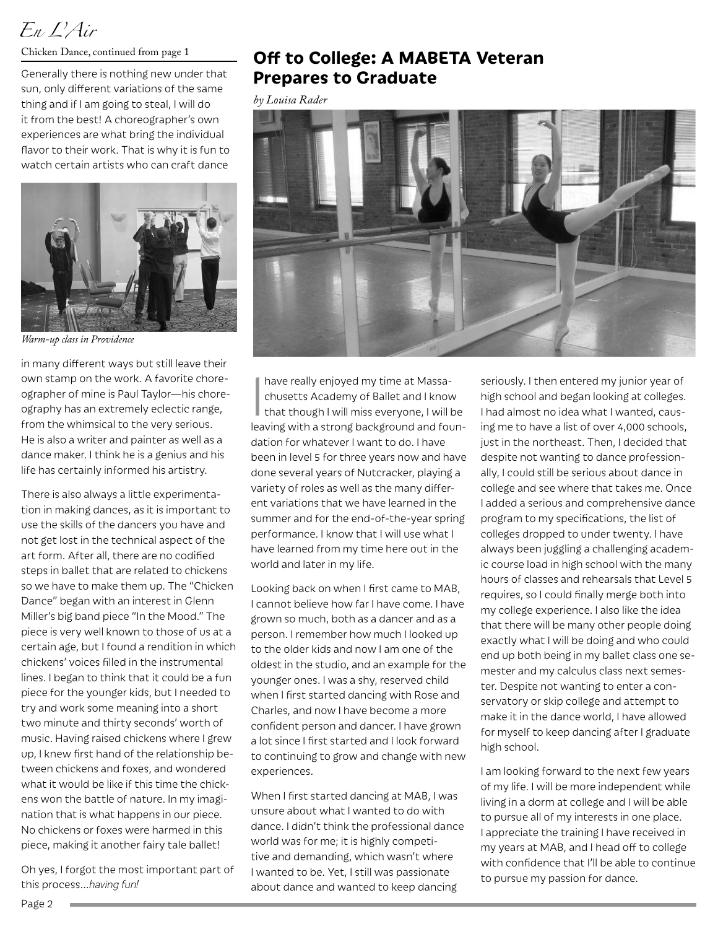# *En L'Air*

Generally there is nothing new under that sun, only different variations of the same thing and if I am going to steal, I will do it from the best! A choreographer's own experiences are what bring the individual flavor to their work. That is why it is fun to watch certain artists who can craft dance



*Warm-up class in Providence*

in many different ways but still leave their own stamp on the work. A favorite choreographer of mine is Paul Taylor—his choreography has an extremely eclectic range, from the whimsical to the very serious. He is also a writer and painter as well as a dance maker. I think he is a genius and his life has certainly informed his artistry.

There is also always a little experimentation in making dances, as it is important to use the skills of the dancers you have and not get lost in the technical aspect of the art form. After all, there are no codified steps in ballet that are related to chickens so we have to make them up. The "Chicken Dance" began with an interest in Glenn Miller's big band piece "In the Mood." The piece is very well known to those of us at a certain age, but I found a rendition in which chickens' voices filled in the instrumental lines. I began to think that it could be a fun piece for the younger kids, but I needed to try and work some meaning into a short two minute and thirty seconds' worth of music. Having raised chickens where I grew up, I knew first hand of the relationship between chickens and foxes, and wondered what it would be like if this time the chickens won the battle of nature. In my imagination that is what happens in our piece. No chickens or foxes were harmed in this piece, making it another fairy tale ballet!

Oh yes, I forgot the most important part of this process…*having fun!*

### Chicken Dance, continued from page 1 **Off to College: A MABETA Veteran Prepares to Graduate**

*by Louisa Rader*



have really enjoyed my time at Massachusetts Academy of Ballet and I know that though I will miss everyone, I will be leaving with a strong background and foundation for whatever I want to do. I have been in level 5 for three years now and have done several years of Nutcracker, playing a variety of roles as well as the many different variations that we have learned in the summer and for the end-of-the-year spring performance. I know that I will use what I have learned from my time here out in the world and later in my life.

Looking back on when I first came to MAB, I cannot believe how far I have come. I have grown so much, both as a dancer and as a person. I remember how much I looked up to the older kids and now I am one of the oldest in the studio, and an example for the younger ones. I was a shy, reserved child when I first started dancing with Rose and Charles, and now I have become a more confident person and dancer. I have grown a lot since I first started and I look forward to continuing to grow and change with new experiences.

When I first started dancing at MAB, I was unsure about what I wanted to do with dance. I didn't think the professional dance world was for me; it is highly competitive and demanding, which wasn't where I wanted to be. Yet, I still was passionate about dance and wanted to keep dancing

seriously. I then entered my junior year of high school and began looking at colleges. I had almost no idea what I wanted, causing me to have a list of over 4,000 schools, just in the northeast. Then, I decided that despite not wanting to dance professionally, I could still be serious about dance in college and see where that takes me. Once I added a serious and comprehensive dance program to my specifications, the list of colleges dropped to under twenty. I have always been juggling a challenging academic course load in high school with the many hours of classes and rehearsals that Level 5 requires, so I could finally merge both into my college experience. I also like the idea that there will be many other people doing exactly what I will be doing and who could end up both being in my ballet class one semester and my calculus class next semester. Despite not wanting to enter a conservatory or skip college and attempt to make it in the dance world, I have allowed for myself to keep dancing after I graduate high school.

I am looking forward to the next few years of my life. I will be more independent while living in a dorm at college and I will be able to pursue all of my interests in one place. I appreciate the training I have received in my years at MAB, and I head off to college with confidence that I'll be able to continue to pursue my passion for dance.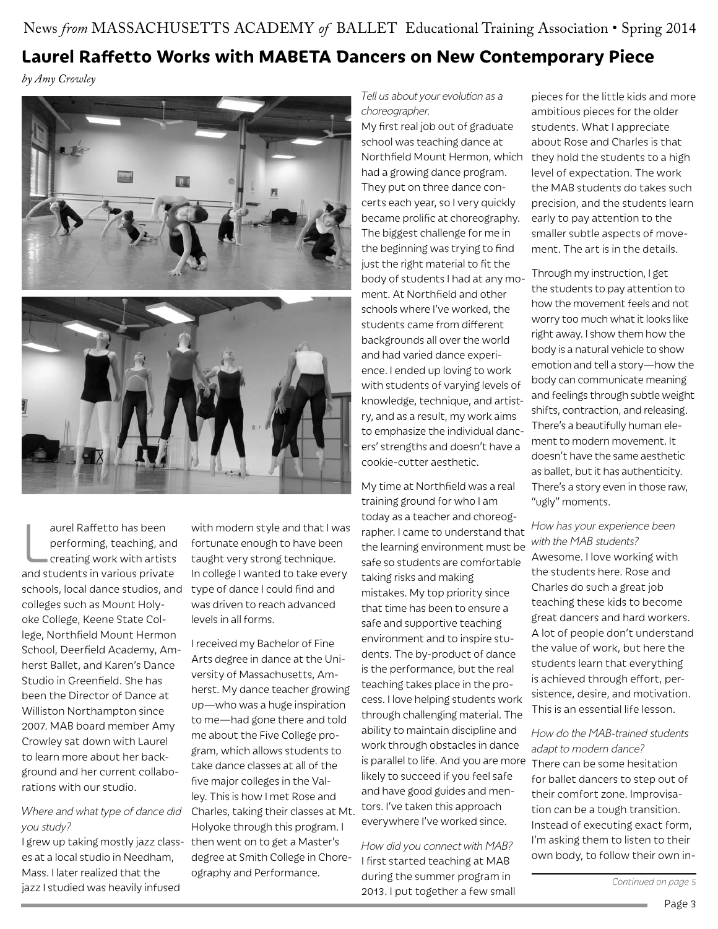# News *from* MASSACHUSETTS ACADEMY *of* BALLET Educational Training Association • Spring 2014 **Laurel Raffetto Works with MABETA Dancers on New Contemporary Piece**

*by Amy Crowley*





aurel Raffetto has been<br>performing, teaching, and<br>creating work with artists<br>and students in various private aurel Raffetto has been performing, teaching, and creating work with artists schools, local dance studios, and colleges such as Mount Holyoke College, Keene State College, Northfield Mount Hermon School, Deerfield Academy, Amherst Ballet, and Karen's Dance Studio in Greenfield. She has been the Director of Dance at Williston Northampton since 2007. MAB board member Amy Crowley sat down with Laurel to learn more about her background and her current collaborations with our studio.

# *you study?*

I grew up taking mostly jazz classes at a local studio in Needham, Mass. I later realized that the jazz I studied was heavily infused

with modern style and that I was fortunate enough to have been taught very strong technique. In college I wanted to take every type of dance I could find and was driven to reach advanced levels in all forms.

*Where and what type of dance did*  Charles, taking their classes at Mt. I received my Bachelor of Fine Arts degree in dance at the University of Massachusetts, Amherst. My dance teacher growing up—who was a huge inspiration to me—had gone there and told me about the Five College program, which allows students to take dance classes at all of the five major colleges in the Valley. This is how I met Rose and Holyoke through this program. I then went on to get a Master's degree at Smith College in Choreography and Performance.

*Tell us about your evolution as a choreographer.*

My first real job out of graduate school was teaching dance at had a growing dance program. They put on three dance concerts each year, so I very quickly became prolific at choreography. The biggest challenge for me in the beginning was trying to find just the right material to fit the body of students I had at any moment. At Northfield and other schools where I've worked, the students came from different backgrounds all over the world and had varied dance experience. I ended up loving to work with students of varying levels of knowledge, technique, and artistry, and as a result, my work aims to emphasize the individual dancers' strengths and doesn't have a cookie-cutter aesthetic.

My time at Northfield was a real training ground for who I am today as a teacher and choreographer. I came to understand that the learning environment must be *with the MAB students?* safe so students are comfortable taking risks and making mistakes. My top priority since that time has been to ensure a safe and supportive teaching environment and to inspire students. The by-product of dance is the performance, but the real teaching takes place in the process. I love helping students work through challenging material. The ability to maintain discipline and work through obstacles in dance is parallel to life. And you are more There can be some hesitation likely to succeed if you feel safe and have good guides and mentors. I've taken this approach everywhere I've worked since.

*How did you connect with MAB?* I first started teaching at MAB during the summer program in 2013. I put together a few small

Northfield Mount Hermon, which they hold the students to a high pieces for the little kids and more ambitious pieces for the older students. What I appreciate about Rose and Charles is that level of expectation. The work the MAB students do takes such precision, and the students learn early to pay attention to the smaller subtle aspects of movement. The art is in the details.

> Through my instruction, I get the students to pay attention to how the movement feels and not worry too much what it looks like right away. I show them how the body is a natural vehicle to show emotion and tell a story—how the body can communicate meaning and feelings through subtle weight shifts, contraction, and releasing. There's a beautifully human element to modern movement. It doesn't have the same aesthetic as ballet, but it has authenticity. There's a story even in those raw, "ugly" moments.

# *How has your experience been*

Awesome. I love working with the students here. Rose and Charles do such a great job teaching these kids to become great dancers and hard workers. A lot of people don't understand the value of work, but here the students learn that everything is achieved through effort, persistence, desire, and motivation. This is an essential life lesson.

#### *How do the MAB-trained students adapt to modern dance?*

for ballet dancers to step out of their comfort zone. Improvisation can be a tough transition. Instead of executing exact form, I'm asking them to listen to their own body, to follow their own in-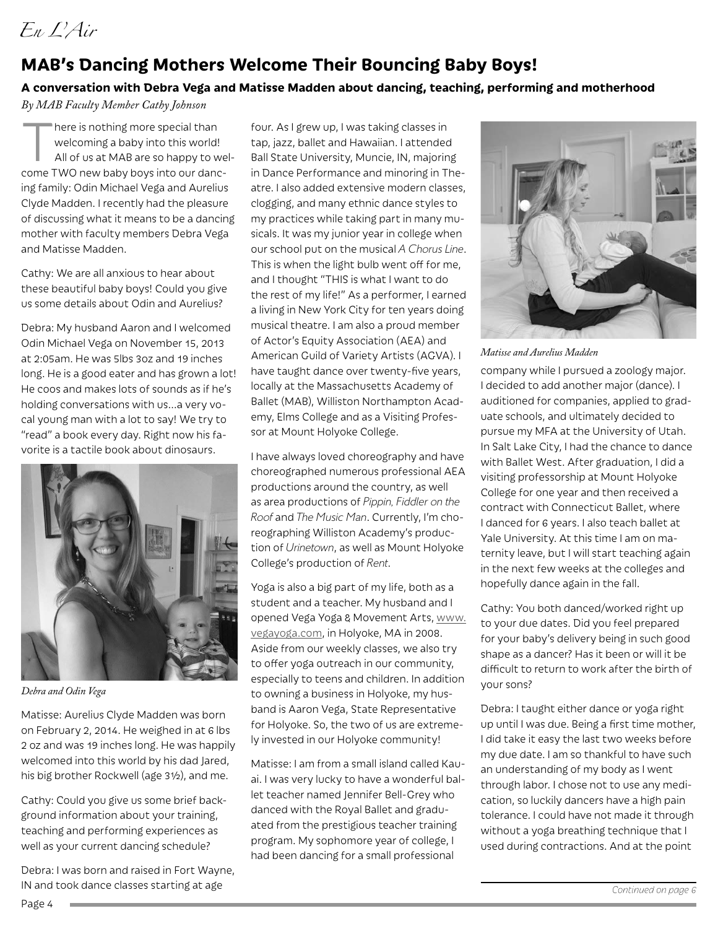## **MAB's Dancing Mothers Welcome Their Bouncing Baby Boys!**

### **A conversation with Debra Vega and Matisse Madden about dancing, teaching, performing and motherhood**

*By MAB Faculty Member Cathy Johnson*

There is nothing more special than<br>welcoming a baby into this world!<br>All of us at MAB are so happy to w welcoming a baby into this world! All of us at MAB are so happy to welcome TWO new baby boys into our dancing family: Odin Michael Vega and Aurelius Clyde Madden. I recently had the pleasure of discussing what it means to be a dancing mother with faculty members Debra Vega and Matisse Madden.

Cathy: We are all anxious to hear about these beautiful baby boys! Could you give us some details about Odin and Aurelius?

Debra: My husband Aaron and I welcomed Odin Michael Vega on November 15, 2013 at 2:05am. He was 5lbs 3oz and 19 inches long. He is a good eater and has grown a lot! He coos and makes lots of sounds as if he's holding conversations with us…a very vocal young man with a lot to say! We try to "read" a book every day. Right now his favorite is a tactile book about dinosaurs.



*Debra and Odin Vega*

Page 4

Matisse: Aurelius Clyde Madden was born on February 2, 2014. He weighed in at 6 lbs 2 oz and was 19 inches long. He was happily welcomed into this world by his dad Jared, his big brother Rockwell (age 3½), and me.

Cathy: Could you give us some brief background information about your training, teaching and performing experiences as well as your current dancing schedule?

Debra: I was born and raised in Fort Wayne, IN and took dance classes starting at age

four. As I grew up, I was taking classes in tap, jazz, ballet and Hawaiian. I attended Ball State University, Muncie, IN, majoring in Dance Performance and minoring in Theatre. I also added extensive modern classes, clogging, and many ethnic dance styles to my practices while taking part in many musicals. It was my junior year in college when our school put on the musical *A Chorus Line*. This is when the light bulb went off for me, and I thought "THIS is what I want to do the rest of my life!" As a performer, I earned a living in New York City for ten years doing musical theatre. I am also a proud member of Actor's Equity Association (AEA) and American Guild of Variety Artists (AGVA). I have taught dance over twenty-five years, locally at the Massachusetts Academy of Ballet (MAB), Williston Northampton Academy, Elms College and as a Visiting Professor at Mount Holyoke College.

I have always loved choreography and have choreographed numerous professional AEA productions around the country, as well as area productions of *Pippin, Fiddler on the Roof* and *The Music Man*. Currently, I'm choreographing Williston Academy's production of *Urinetown*, as well as Mount Holyoke College's production of *Rent*.

Yoga is also a big part of my life, both as a student and a teacher. My husband and I opened Vega Yoga & Movement Arts, www. vegayoga.com, in Holyoke, MA in 2008. Aside from our weekly classes, we also try to offer yoga outreach in our community, especially to teens and children. In addition to owning a business in Holyoke, my husband is Aaron Vega, State Representative for Holyoke. So, the two of us are extremely invested in our Holyoke community!

Matisse: I am from a small island called Kauai. I was very lucky to have a wonderful ballet teacher named Jennifer Bell-Grey who danced with the Royal Ballet and graduated from the prestigious teacher training program. My sophomore year of college, I had been dancing for a small professional



*Matisse and Aurelius Madden*

company while I pursued a zoology major. I decided to add another major (dance). I auditioned for companies, applied to graduate schools, and ultimately decided to pursue my MFA at the University of Utah. In Salt Lake City, I had the chance to dance with Ballet West. After graduation, I did a visiting professorship at Mount Holyoke College for one year and then received a contract with Connecticut Ballet, where I danced for 6 years. I also teach ballet at Yale University. At this time I am on maternity leave, but I will start teaching again in the next few weeks at the colleges and hopefully dance again in the fall.

Cathy: You both danced/worked right up to your due dates. Did you feel prepared for your baby's delivery being in such good shape as a dancer? Has it been or will it be difficult to return to work after the birth of your sons?

Debra: I taught either dance or yoga right up until I was due. Being a first time mother, I did take it easy the last two weeks before my due date. I am so thankful to have such an understanding of my body as I went through labor. I chose not to use any medication, so luckily dancers have a high pain tolerance. I could have not made it through without a yoga breathing technique that I used during contractions. And at the point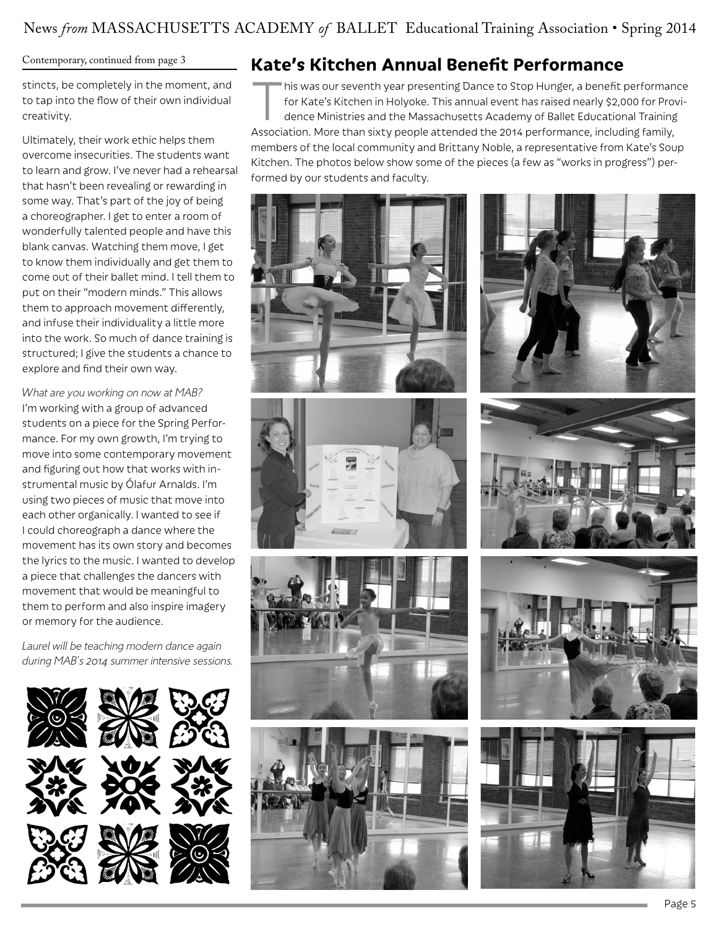#### Contemporary, continued from page 3

stincts, be completely in the moment, and to tap into the flow of their own individual creativity.

Ultimately, their work ethic helps them overcome insecurities. The students want to learn and grow. I've never had a rehearsal that hasn't been revealing or rewarding in some way. That's part of the joy of being a choreographer. I get to enter a room of wonderfully talented people and have this blank canvas. Watching them move, I get to know them individually and get them to come out of their ballet mind. I tell them to put on their "modern minds." This allows them to approach movement differently, and infuse their individuality a little more into the work. So much of dance training is structured; I give the students a chance to explore and find their own way.

*What are you working on now at MAB?* I'm working with a group of advanced students on a piece for the Spring Performance. For my own growth, I'm trying to move into some contemporary movement and figuring out how that works with instrumental music by Ólafur Arnalds. I'm using two pieces of music that move into each other organically. I wanted to see if I could choreograph a dance where the movement has its own story and becomes the lyrics to the music. I wanted to develop a piece that challenges the dancers with movement that would be meaningful to them to perform and also inspire imagery or memory for the audience.

*Laurel will be teaching modern dance again during MAB's 2014 summer intensive sessions.*





# **Kate's Kitchen Annual Benefit Performance**

This was our seventh year presenting Dance to Stop Hunger, a benefit performance<br>for Kate's Kitchen in Holyoke. This annual event has raised nearly \$2,000 for Provi-<br>dence Ministries and the Massachusetts Academy of Ballet for Kate's Kitchen in Holyoke. This annual event has raised nearly \$2,000 for Providence Ministries and the Massachusetts Academy of Ballet Educational Training Association. More than sixty people attended the 2014 performance, including family, members of the local community and Brittany Noble, a representative from Kate's Soup Kitchen. The photos below show some of the pieces (a few as "works in progress") performed by our students and faculty.









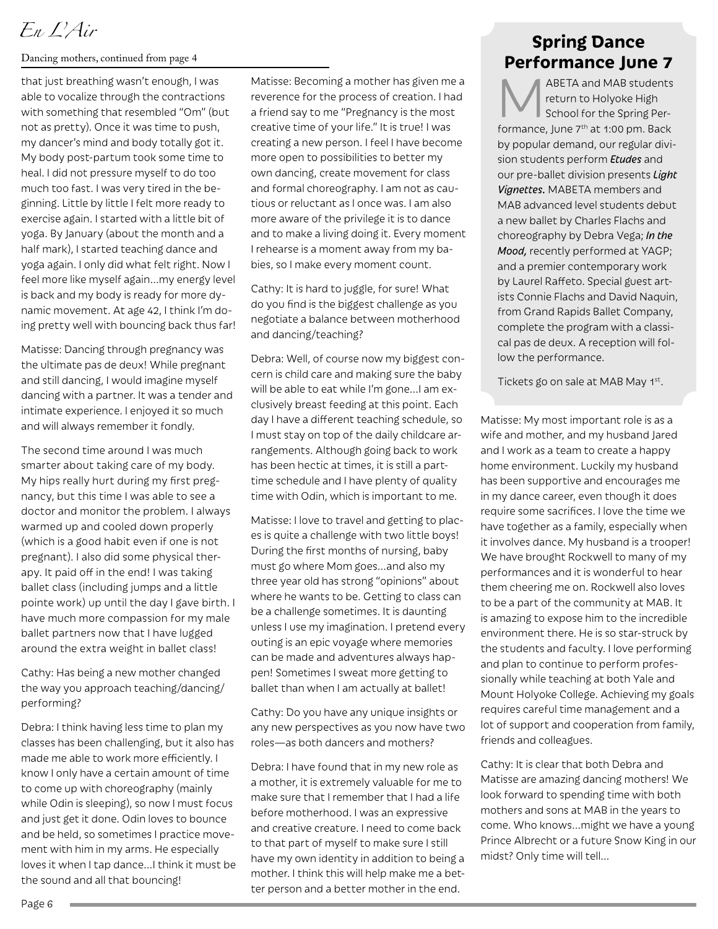*En L'Air*

#### Dancing mothers, continued from page 4

that just breathing wasn't enough, I was able to vocalize through the contractions with something that resembled "Om" (but not as pretty). Once it was time to push, my dancer's mind and body totally got it. My body post-partum took some time to heal. I did not pressure myself to do too much too fast. I was very tired in the beginning. Little by little I felt more ready to exercise again. I started with a little bit of yoga. By January (about the month and a half mark), I started teaching dance and yoga again. I only did what felt right. Now I feel more like myself again…my energy level is back and my body is ready for more dynamic movement. At age 42, I think I'm doing pretty well with bouncing back thus far!

Matisse: Dancing through pregnancy was the ultimate pas de deux! While pregnant and still dancing, I would imagine myself dancing with a partner. It was a tender and intimate experience. I enjoyed it so much and will always remember it fondly.

The second time around I was much smarter about taking care of my body. My hips really hurt during my first pregnancy, but this time I was able to see a doctor and monitor the problem. I always warmed up and cooled down properly (which is a good habit even if one is not pregnant). I also did some physical therapy. It paid off in the end! I was taking ballet class (including jumps and a little pointe work) up until the day I gave birth. I have much more compassion for my male ballet partners now that I have lugged around the extra weight in ballet class!

Cathy: Has being a new mother changed the way you approach teaching/dancing/ performing?

Debra: I think having less time to plan my classes has been challenging, but it also has made me able to work more efficiently. I know I only have a certain amount of time to come up with choreography (mainly while Odin is sleeping), so now I must focus and just get it done. Odin loves to bounce and be held, so sometimes I practice movement with him in my arms. He especially loves it when I tap dance…I think it must be the sound and all that bouncing!

Matisse: Becoming a mother has given me a reverence for the process of creation. I had a friend say to me "Pregnancy is the most creative time of your life." It is true! I was creating a new person. I feel I have become more open to possibilities to better my own dancing, create movement for class and formal choreography. I am not as cautious or reluctant as I once was. I am also more aware of the privilege it is to dance and to make a living doing it. Every moment I rehearse is a moment away from my babies, so I make every moment count.

Cathy: It is hard to juggle, for sure! What do you find is the biggest challenge as you negotiate a balance between motherhood and dancing/teaching?

Debra: Well, of course now my biggest concern is child care and making sure the baby will be able to eat while I'm gone…I am exclusively breast feeding at this point. Each day I have a different teaching schedule, so I must stay on top of the daily childcare arrangements. Although going back to work has been hectic at times, it is still a parttime schedule and I have plenty of quality time with Odin, which is important to me.

Matisse: I love to travel and getting to places is quite a challenge with two little boys! During the first months of nursing, baby must go where Mom goes…and also my three year old has strong "opinions" about where he wants to be. Getting to class can be a challenge sometimes. It is daunting unless I use my imagination. I pretend every outing is an epic voyage where memories can be made and adventures always happen! Sometimes I sweat more getting to ballet than when I am actually at ballet!

Cathy: Do you have any unique insights or any new perspectives as you now have two roles—as both dancers and mothers?

Debra: I have found that in my new role as a mother, it is extremely valuable for me to make sure that I remember that I had a life before motherhood. I was an expressive and creative creature. I need to come back to that part of myself to make sure I still have my own identity in addition to being a mother. I think this will help make me a better person and a better mother in the end.

### **Spring Dance Performance June 7**

ABETA and MAB students return to Holyoke High School for the Spring Performance, June 7<sup>th</sup> at 1:00 pm. Back by popular demand, our regular division students perform *Etudes* and our pre-ballet division presents *Light Vignettes.* MABETA members and MAB advanced level students debut a new ballet by Charles Flachs and choreography by Debra Vega; *In the Mood,* recently performed at YAGP; and a premier contemporary work by Laurel Raffeto. Special guest artists Connie Flachs and David Naquin, from Grand Rapids Ballet Company, complete the program with a classical pas de deux. A reception will follow the performance.

Tickets go on sale at MAB May 1st.

Matisse: My most important role is as a wife and mother, and my husband Jared and I work as a team to create a happy home environment. Luckily my husband has been supportive and encourages me in my dance career, even though it does require some sacrifices. I love the time we have together as a family, especially when it involves dance. My husband is a trooper! We have brought Rockwell to many of my performances and it is wonderful to hear them cheering me on. Rockwell also loves to be a part of the community at MAB. It is amazing to expose him to the incredible environment there. He is so star-struck by the students and faculty. I love performing and plan to continue to perform professionally while teaching at both Yale and Mount Holyoke College. Achieving my goals requires careful time management and a lot of support and cooperation from family, friends and colleagues.

Cathy: It is clear that both Debra and Matisse are amazing dancing mothers! We look forward to spending time with both mothers and sons at MAB in the years to come. Who knows…might we have a young Prince Albrecht or a future Snow King in our midst? Only time will tell…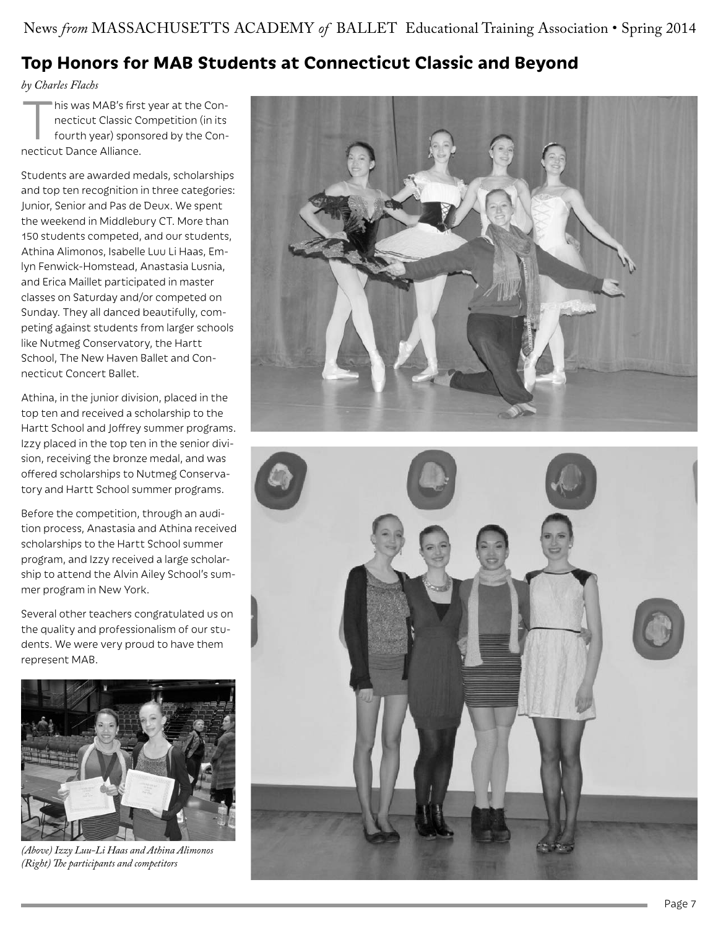# **Top Honors for MAB Students at Connecticut Classic and Beyond**

*by Charles Flachs*

This was MAB's first year at the Con-<br>necticut Classic Competition (in its<br>fourth year) sponsored by the Connecticut Classic Competition (in its fourth year) sponsored by the Connecticut Dance Alliance.

Students are awarded medals, scholarships and top ten recognition in three categories: Junior, Senior and Pas de Deux. We spent the weekend in Middlebury CT. More than 150 students competed, and our students, Athina Alimonos, Isabelle Luu Li Haas, Emlyn Fenwick-Homstead, Anastasia Lusnia, and Erica Maillet participated in master classes on Saturday and/or competed on Sunday. They all danced beautifully, competing against students from larger schools like Nutmeg Conservatory, the Hartt School, The New Haven Ballet and Connecticut Concert Ballet.

Athina, in the junior division, placed in the top ten and received a scholarship to the Hartt School and Joffrey summer programs. Izzy placed in the top ten in the senior division, receiving the bronze medal, and was offered scholarships to Nutmeg Conservatory and Hartt School summer programs.

Before the competition, through an audition process, Anastasia and Athina received scholarships to the Hartt School summer program, and Izzy received a large scholarship to attend the Alvin Ailey School's summer program in New York.

Several other teachers congratulated us on the quality and professionalism of our students. We were very proud to have them represent MAB.



*(Above) Izzy Luu-Li Haas and Athina Alimonos (Right) The participants and competitors*